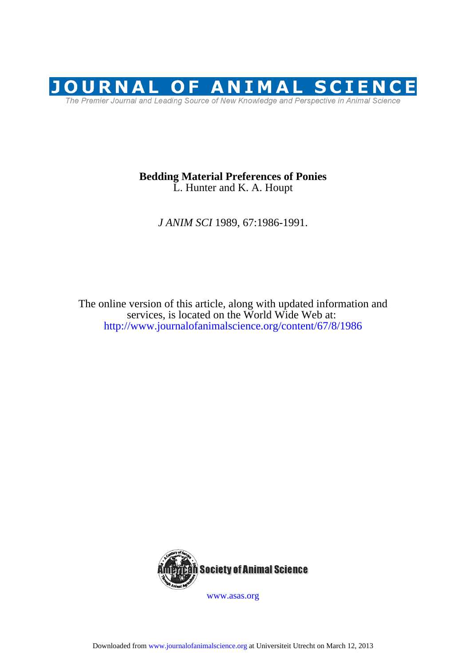

# L. Hunter and K. A. Houpt **Bedding Material Preferences of Ponies**

*J ANIM SCI* 1989, 67:1986-1991.

http://www.journalofanimalscience.org/content/67/8/1986 services, is located on the World Wide Web at: The online version of this article, along with updated information and

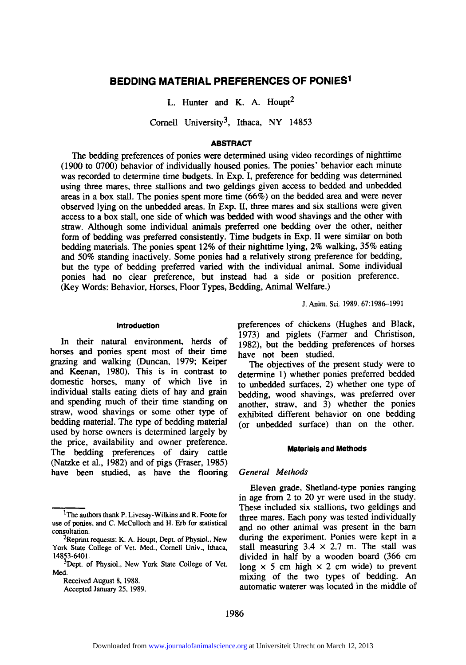# **BEDDING MATERIAL PREFERENCES OF PONIES I**

L. Hunter and K. A. Houpt<sup>2</sup>

Cornell University<sup>3</sup>, Ithaca, NY 14853

## ABSTRACT

The bedding preferences of ponies were determined using video recordings of nighttime (1900 to 0700) behavior of individually housed ponies. The ponies' behavior each minute was recorded to determine time budgets. In Exp. I, preference for bedding was determined using three mares, three stallions and two geldings given access to bedded and unbedded areas in a box stall. The ponies spent more time (66%) on the bedded area and were never observed lying on the unbedded areas. In Exp. II, three mares and six stallions were given access to a box stall, one side of which was bedded with wood shavings and the other with straw. Although some individual animals preferred one bedding over the other, neither form of bedding was preferred consistently. Time budgets in Exp. II were similar on both bedding materials. The ponies spent 12% of their nighttime lying, 2% walking, 35% eating and 50% standing inactively. Some ponies had a relatively strong preference for bedding, but the type of bedding preferred varied with the individual animal. Some individual ponies had no clear preference, but instead had a side or position preference. (Key Words: Behavior, Horses, Floor Types, Bedding, Animal Welfare.)

J. Anim. Sci. 1989. 67:1986-1991

#### **Introduction**

In their natural environment, herds of horses and ponies spent most of their time grazing and walking (Duncan, 1979; Keiper and Keenan, 1980). This is in contrast to domestic horses, many of which live in individual stalls eating diets of hay and grain and spending much of their time standing on straw, wood shavings or some other type of bedding material. The type of bedding material used by horse owners is determined largely by the price, availability and owner preference. The bedding preferences of dairy cattle (Natzke et al., 1982) and of pigs (Fraser, 1985) have been studied, as have the flooring preferences of chickens (Hughes and Black, 1973) and piglets (Farmer and Christison, 1982), but the bedding preferences of horses have not been studied.

The objectives of the present study were to determine 1) whether ponies preferred bedded to unbedded surfaces, 2) whether one type of bedding, wood shavings, was preferred over another, straw, and  $3$ ) whether the ponies exhibited different behavior on one bedding (or unbedded surface) than on the other.

## **Materials and Methods**

#### *General Methods*

**Eleven** grade, Shetland-type ponies ranging in age from 2 to 20 yr were used in the study. These included six stallions, two geldings and three mares. Each pony was tested individually and no other animal was present in the barn during the experiment. Ponies were kept in a stall measuring  $3.4 \times 2.7$  m. The stall was divided in half by a wooden board (366 cm long  $\times$  5 cm high  $\times$  2 cm wide) to prevent mixing of the two types of bedding. An automatic waterer was located in the middle of

<sup>1</sup>The authors thank P. Livesay-Wilkins and R. Foote **for**  use of ponies, and C. McCulloch and H. **Erb for** statistical consultation.

<sup>&</sup>lt;sup>2</sup>Reprint requests: K. A. Houpt, Dept. of Physiol., New York State College of Vet. Med., Cornell Univ., Ithaca, 14853-6401.

<sup>&</sup>lt;sup>3</sup>Dept. of Physiol., New York State College of Vet. Med.

Received August 8, 1988. Accepted January 25, 1989.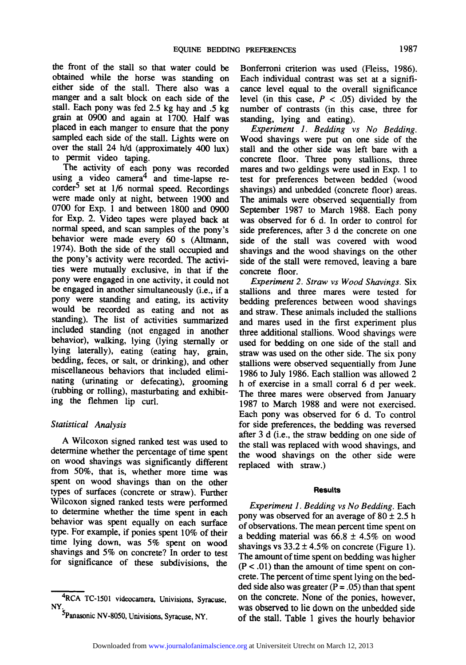the front of the stall so that water could be obtained while the horse was standing on either side of the stall. There also was a manger and a salt block on each side of the stall. Each pony was fed 2.5 kg hay and .5 kg grain at 0900 and again at 1700. Half was placed in each manger to ensure that the pony sampled each side of the stall. Lights were on over the stall 24 h/d (approximately 400 lux) to permit video taping.

The activity of each pony was recorded using a video camera<sup>4</sup> and time-lapse re- $\text{corder}^5$  set at 1/6 normal speed. Recordings were made only at night, between 1900 and 0700 for Exp. 1 and between 1800 and 0900 for Exp. 2. Video tapes were played back at normal speed, and scan samples of the pony's behavior were made every 60 s (Altmann, 1974). Both the side of the stall occupied and the pony's activity were recorded. The activities were mutually exclusive, in that if the pony were engaged in one activity, it could not be engaged in another simultaneously (i.e., if a pony were standing and eating, its activity would be recorded as eating and not as standing). The list of activities summarized included standing (not engaged in another behavior), walking, lying (lying sternally or lying laterally), eating (eating hay, grain, bedding, feces, or salt, or drinking), and other miscellaneous behaviors that included eliminating (urinating or defecating), grooming (rubbing or rolling), masturbating and exhibiting the flehmen lip curl.

# *Statistical Analysis*

A Wilcoxon signed ranked test was used to determine whether the percentage of time spent on wood shavings was significantly different from 50%, that is, whether more time was spent on wood shavings than on the other types of surfaces (concrete or straw). Further Wilcoxon signed ranked tests were performed to determine whether the time spent in each behavior was spent equally on each surface type. For example, if ponies spent 10% of their time lying down, was 5% spent on wood shavings and 5% on concrete? In order to test for significance of these subdivisions, the

Bonferroni criterion was used (Fleiss, 1986). Each individual contrast was set at a significance level equal to the overall significance level (in this case,  $P < .05$ ) divided by the number of contrasts (in this case, three for standing, lying and eating).

*Experiment 1. Bedding vs No Bedding.*  Wood shavings were put on one side of the stall and the other side was left bare with a concrete floor. Three pony stallions, three mares and two geldings were used in Exp. 1 to test for preferences between bedded (wood shavings) and unbedded (concrete floor) areas. The animals were observed sequentially from September 1987 to March 1988. Each pony was observed for 6 d. In order to control for side preferences, after 3 d the concrete on one side of the stall was covered with wood shavings and the wood shavings on the other side of the stall were removed, leaving a bare concrete floor.

*Experiment 2. Straw vs Wood Shavings.* Six stallions and three mares were tested for bedding preferences between wood shavings and straw. These animals included the stallions and mares used in the first experiment plus three additional stallions. Wood shavings were used for bedding on one side of the stall and straw was used on the other side. The six pony stallions were observed sequentially from June 1986 to July 1986. Each stallion was allowed 2 h of exercise in a small corral 6 d per week. The three mares were observed from January 1987 to March 1988 and were not exercised. Each pony was observed for 6 d. To control for side preferences, the bedding was reversed after 3 d (i.e., the straw bedding on one side of the stall was replaced with wood shavings, and the wood shavings on the other side were replaced with straw.)

#### **Resu|ts**

*Expertment 1. Bedding vs No Bedding.* Each pony was observed for an average of  $80 \pm 2.5$  h of observations. The mean percent time spent on a bedding material was  $66.8 \pm 4.5\%$  on wood shavings vs  $33.2 \pm 4.5\%$  on concrete (Figure 1). The amount of time spent on bedding was higher  $(P < .01)$  than the amount of time spent on concrete. The percent of time spent lying on the bedded side also was greater  $(P = .05)$  than that spent on the concrete. None of the ponies, however, was observed to lie down on the unbedded side of the stall. Table 1 gives the hourly behavior

**<sup>4</sup>RCA** TC-1501 videocamera, Univisions, Syracuse, NY.

<sup>&</sup>lt;sup>3</sup>Panasonic NV-8050, Univisions, Syracuse, NY.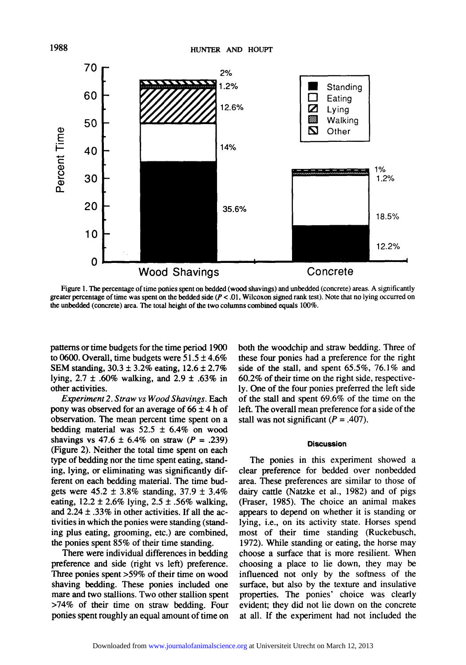

Figure 1. The percentage of time ponies Spent on bedded (wood shavings) and unbedded (concrete) areas. A significantly greater percentage of time was spent on the bedded side  $(P < 0.01$ . Wilcoxon signed rank test). Note that no lying occurred on the unbedded (concrete) area. The total height of the two columns combined equals 100%.

patterns or time budgets for the time period 1900 to 0600. Overall, time budgets were  $51.5 \pm 4.6\%$ SEM standing,  $30.3 \pm 3.2\%$  eating,  $12.6 \pm 2.7\%$ lying,  $2.7 \pm .60\%$  walking, and  $2.9 \pm .63\%$  in other activities.

*Experiment 2. Straw vs Wood Shavings.* Each pony was observed for an average of  $66 \pm 4$  h of observation. The mean percent time spent on a bedding material was  $52.5 \pm 6.4\%$  on wood shavings vs  $47.6 \pm 6.4\%$  on straw (P = .239) (Figure 2). Neither the total time spent on each type of bedding nor the time spent eating, standing, lying, or eliminating was significantly different on each bedding material. The time budgets were  $45.2 \pm 3.8\%$  standing,  $37.9 \pm 3.4\%$ eating,  $12.2 \pm 2.6\%$  lying,  $2.5 \pm .56\%$  walking, and  $2.24 \pm .33\%$  in other activities. If all the activities in which the ponies were standing (standing plus eating, grooming, etc.) are combined, the ponies spent 85% of their time standing.

There were individual differences in bedding preference and side (right vs left) preference. Three ponies spent >59% of their time on wood shaving bedding. These ponies included one mare and two stallions. Two other stallion spent >74% of their time on straw bedding. Four ponies spent roughly an equal amount of time on

both the woodchip and straw bedding. Three of these four ponies had a preference for the fight side of the stall, and spent 65.5%, 76.1% and 60.2% of their time on the right side, respectively. One of the four ponies preferred the left side of the stall and spent 69.6% of the time on the left. The overall mean preference for a side of the stall was not significant  $(P = .407)$ .

## **Discussion**

The ponies in this experiment showed a clear preference for bedded over nonbedded area. These preferences are similar to those of dairy cattle (Natzke et al., 1982) and of pigs (Fraser, 1985). The choice an animal makes appears to depend on whether it is standing or lying, i.e., on its activity state. Horses spend most of their time standing (Ruckebusch, 1972). While standing or eating, the horse may choose a surface that is more resilient. When choosing a place to lie down, they may be influenced not only by the softness of the surface, but also by the texture and insulative properties. The ponies' choice was clearly evident; they did not lie down on the concrete at all. If the experiment had not included the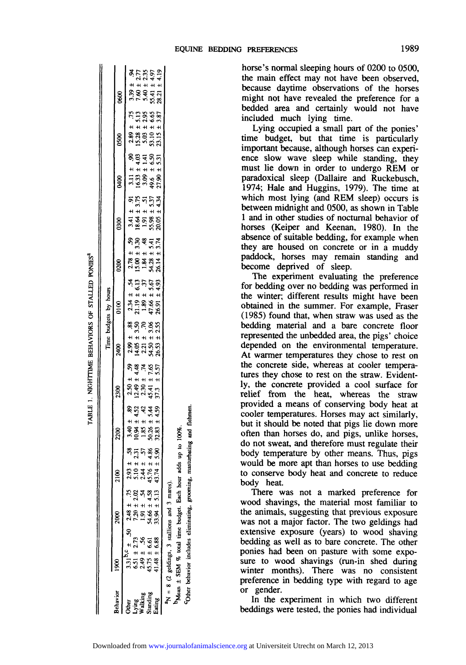|                                                 |                                                                                                                                                                                                                                                                                                                                                                                                                                                 |                            |                                                                                                                   |                                                                                   |                                                                              |                                                                                               | Time budgets by hours                                                                        |                                                                                               |                                                                                              |                                                                                              |                                                                                                                        |                                                                                             |
|-------------------------------------------------|-------------------------------------------------------------------------------------------------------------------------------------------------------------------------------------------------------------------------------------------------------------------------------------------------------------------------------------------------------------------------------------------------------------------------------------------------|----------------------------|-------------------------------------------------------------------------------------------------------------------|-----------------------------------------------------------------------------------|------------------------------------------------------------------------------|-----------------------------------------------------------------------------------------------|----------------------------------------------------------------------------------------------|-----------------------------------------------------------------------------------------------|----------------------------------------------------------------------------------------------|----------------------------------------------------------------------------------------------|------------------------------------------------------------------------------------------------------------------------|---------------------------------------------------------------------------------------------|
| <b>Rehavior</b>                                 |                                                                                                                                                                                                                                                                                                                                                                                                                                                 | 2000                       | g                                                                                                                 | 2200                                                                              | 2300                                                                         | 2400                                                                                          | $\frac{8}{5}$                                                                                | 880                                                                                           | 880                                                                                          | 8g                                                                                           | 0500                                                                                                                   | 880                                                                                         |
| Lying<br>Walking<br>Standing<br>Eating<br>)ther | ${}^3N = 8$ (2 geldings, 3 stallions and 3 marcs).<br>${}^b$ Mean $\pm$ SEM % total time budget. Each hour<br>$\begin{array}{rl} 3.31^{\text{b}}\text{c} \pm & .50 \\ 5.31^{\text{b}}\text{c} \pm & .50 \\ 5.51 \pm 2.73 & 7.20 \pm 2.02 \\ 45.75 \pm & .56 \\ 45.75 \pm & .56 \\ 41.48 \pm & 6.88 \\ \hline \end{array} \quad \begin{array}{rl} 2.48 \pm & .75 \\ 7.20 \pm & 2.02 \\ 1.90 \pm & 2.02 \\ 3.99 \pm & 5.13 \\ \hline \end{array}$ | $\frac{33.94 \pm 5.13}{4}$ | adds up to 100%.<br>85<br>25<br>25<br>$2.93 \pm 0.53$<br>5.10 ± 2.31<br>5.14 ± 5.7<br>2.44 ± 4.86<br>43.74 ± 5.90 | 88 34 34 35<br>88 34 34 35<br># # # # # #<br>ង<br>ភូមិ ភូមិ<br>ភូមិ ភូមិ<br>32.83 | $2.50 \pm 59$<br>12.49 ± 4.48<br>2.30 ± 7.65<br>45.41 ± 7.65<br>45.41 ± 5.57 | $2.99 \pm .88$<br>14.05 $\pm$ 3.50<br>2.21 $\pm$ 3.06<br>54.50 $\pm$ 3.06<br>54.50 $\pm$ 3.55 | $2.34 \pm .54$<br>$21.19 \pm 6.13$<br>$1.89 \pm .37$<br>$47.66 \pm 5.67$<br>$26.91 \pm 4.93$ | $2.78 \pm 0.59$<br>15.00 $\pm 3.30$<br>1.84 $\pm 4.4$<br>54.28 $\pm 5.41$<br>26.14 $\pm 3.74$ | $3.41 \pm 91$<br>$18.64 \pm 3.75$<br>$1.91 \pm 5.37$<br>$55.98 \pm 5.37$<br>$20.05 \pm 4.34$ | $3.11 \pm 0.90$<br>$16.33 \pm 4.03$<br>$3.09 \pm 1.41$<br>$49.6 \pm 6.50$<br>$49.6 \pm 5.33$ | ranges<br>Lages<br>$\begin{array}{r} 2.89 \\ 15.73 \\ 5.03 \\ 5.03 \\ 15.15 \\ 23.15 \\ 23.15 \\ 23.15 \\ \end{array}$ | $3.39 \pm .94$<br>$7.60 \pm 2.77$<br>$5.40 \pm 2.35$<br>$5.41 \pm 4.97$<br>$28.21 \pm 4.19$ |

,-1

9 ₹.

 $\Xi$ 

horse's normal sleeping hours of 0200 to 0500, the main effect may not have been observed, because daytime observations of the horses might not have revealed the preference for a bedded area and certainly would not have included much lying time.

Lying occupied a small part of the ponies' time budget, but that time is particularly important because, although horses can experience slow wave sleep while standing, they must lie down in order to undergo REM or paradoxical sleep (Dallaire and Ruckebusch, 1974; Hale and Huggins, 1979). The time at which most lying (and REM sleep) occurs is between midnight and 0500, as shown in Table 1 and in other studies of nocturnal behavior of horses (Keiper and Keenan, 1980). In the absence of suitable bedding, for example when they are housed on concrete or in a muddy paddock, horses may remain standing and become deprived of sleep.

The experiment evaluating the preference for bedding over no bedding was performed in the winter; different results might have been obtained in the summer. For example, Fraser (1985) found that, when straw was used as the bedding material and a bare concrete floor represented the unbedded area, the pigs' choice depended on the environmental temperature. At warmer temperatures they chose to rest on the concrete side, whereas at cooler temperatures they chose to rest on the straw. Evidently, the concrete provided a cool surface for relief from the heat, whereas the straw provided a means of conserving body heat at cooler temperatures. Horses may act similarly, but it should be noted that pigs lie down more often than horses do, and pigs, unlike horses, do not sweat, and therefore must regulate their body temperature by other means. Thus, pigs would be more apt than horses to use bedding to conserve body heat and concrete to reduce body heat.

There was not a marked preference for wood shavings, the material most familiar to the animals, suggesting that previous exposure was not a major factor. The two geldings had extensive exposure (years) to wood shaving bedding as well as to bare concrete. The other ponies had been on pasture with some exposure to wood shavings (run-in shed during winter months). There was no consistent preference in bedding type with regard to age or gender.

In the experiment in which two different beddings were tested, the ponies had individual

behavior includes eliminating, grooming, masturbating and flehmen.

COther 1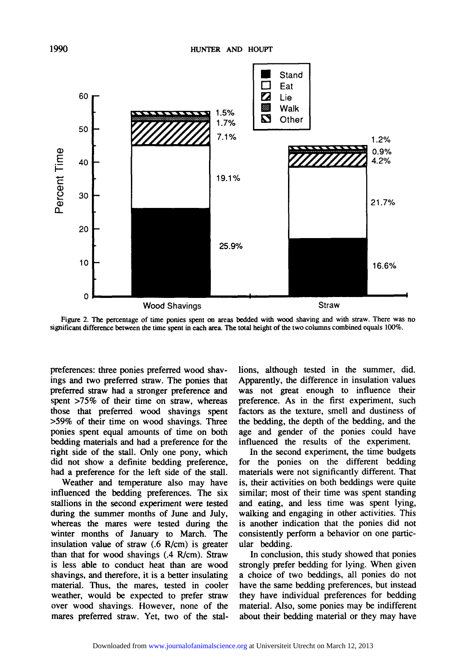

Figure 2. The percentage of time ponies spent on areas bedded with wood shaving and with straw. There was no significant difference between the time spent in each area. The total height of the two columns combined equals 100%.

preferences: three ponies preferred wood shavings and two preferred straw. The ponies that preferred straw had a stronger preference and spent >75% of their time on straw, whereas those that preferred wood shavings spent >59% of their time on wood shavings. Three ponies spent equal amounts of time on both bedding materials and had a preference for the fight side of the stall. Only one pony, which did not show a definite bedding preference, had a preference for the left side of the stall.

Weather and temperature also may have influenced the bedding preferences. The six stallions in the second experiment were tested during the summer months of June and July, whereas the mares were tested during the winter months of January to March. The insulation value of straw (.6 R/cm) is greater than that for wood shavings (.4 R/cm). Straw is less able to conduct heat than are wood shavings, and therefore, it is a better insulating material. Thus, the mares, tested in cooler weather, would be expected to prefer straw over wood shavings. However, none of the mares preferred straw. Yet, two of the stallions, although tested in the summer, did. Apparently, the difference in insulation values was not great enough to influence their preference. As in the first experiment, such factors as the texture, smell and dustiness of the bedding, the depth of the bedding, and the age and gender of the ponies could have influenced the results of the experiment.

In the second experiment, the time budgets for the ponies on the different bedding materials were not significantly different. That is, their activities on both beddings were quite similar; most of their time was spent standing and eating, and less time was spent lying, walking and engaging in other activities. This is another indication that the ponies did not consistently perform a behavior on one particular bedding.

In conclusion, this study showed that ponies strongly prefer bedding for lying. When given a choice of two beddings, all ponies do not have the same bedding preferences, but instead they have individual preferences for bedding material. Also, some ponies may be indifferent about their bedding material or they may have